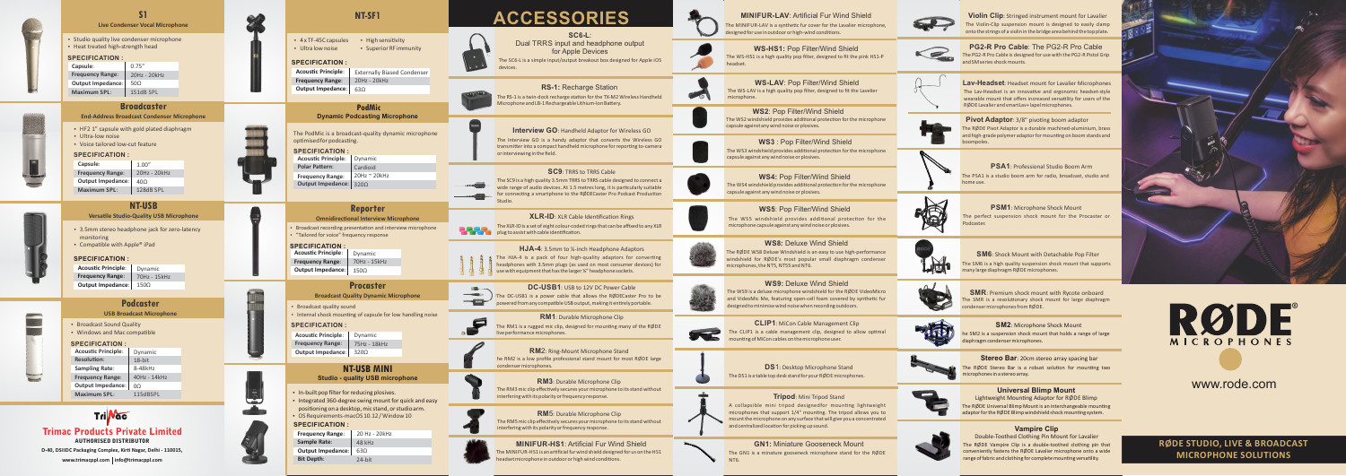## www.rode.com

**RØDE STUDIO, LIVE & BROADCAST MICROPHONE SOLUTIONS** 



### **C L I P 1**: MiCon Cable Management Clip

The CLIP1 is a cable management clip, designed to allow optimal mounting of MiCon cables on the microphone user.

**D S** 1: Desktop Microphone Stand

The DS1 is a table top desk stand for your RØDE microphones.

### **Tripod**: Mini Tripod Stand

A collapsible mini tripod designedfor mounting lightweight microphones that support 1/4" mounting. The tripod allows you to mount the microphone on any surface that will give you a concentrated and centralized location for picking up sound.

### **G N1:** Miniature Gooseneck Mount

The GN1 is a minature gooseneck microphone stand for the RØDE N T6.



**Lav-Headset**: Headset mount for Lavalier Microphones The Lav-Headset is an innovative and ergonomic headset-style wearable mount that offers increased versatility for users of the R Ø D E La valier and smartLav+ lapel microphones.

**Pivot Adaptor:** 3/8" pivoting boom adaptor



**PSA1**: Professional Studio Boom Arm The P S A1 is a studio boom arm for radio, broadcast, studio and home use.



The R Ø D E Pivot Adaptor is a durable machined-aluminium, brass and high-grade polymer adaptor for mounting on boom stands and boompoles.



**Violin Clip**: Stringed instrument mount for La valier The Violin-Clip suspension mount is designed to easily clamp on to the strings of a violin in the bridge area behind the top pla te.



**P S M 1**: Microphone Shock Moun t The perfect suspension shock mount for the Procaster or Podcas ter.



The MINIF U R - LAV is a synthec fur cover for the La valier microphone, designed for use in outdoor or high-wind conditions.

**W S - L AV**: Pop Filter/Wind Shield The W S - LAV is a high quality pop filter, designed to fit the La velier microphone

The WS2 windshield provides additional protection for the microphone capsule against any wind noise or plosives. **W S 2**: Pop Filter/Wind Shield

The WS3 windshield provides additional protection for the microphone **WS3** : Pop Filter/Wind Shield<br>The WS3 windshield provides additional protection for t<br>capsule against any wind noise or plosives.

The WS4 windshield provides additional protection for the microphone **WS4: Pop Filter/Wind Shield**<br>The WS4 windshield provides additional protection for<br>capsule against any wind noise or plosives.

> The S M6 is a high quality suspension shock mount that supports many lar ge diaphragm R Ø D Emicrophones. **S M 6**: Shock Mount with Detachable Pop Filter



The SMR is a revolutionary shock mount for large diaphragm condenser microphones from RØDE. **SMR**: Premium shock mount with Rycote onboard



he S M2 is a suspension shock mount that holds a range of lar ge diaphragm condenser microphones. **S M 2**: Microphone Shock Moun t



The RØDE Stereo Bar is a robust solution for mounting two microphones in a stereo array. Stereo Bar: 20cm stereo array spacing bar

The WS5 windshield provides additional protection for the microphone capsule against any wind noise or plosives.

> The R Ø D E Vampire Clip is a double-toothed clothing pin that conveniently fastens the RØDE Lavalier microphone onto a wide range of fabric and clothing for complete mounting versatility. Double-Toothed Clothing Pin Mount for La valier





### **Universal Blimp Mount**

The RØDE Universal Blimp Mount is an interchangeable mounting adaptor for the RØDE Blimp windshield shock mounting system. Lightweight Mounting Adaptor for RØDE Blimp

### **Vampire Clip**



### **M I N I F U R - L AV**: Artificial Fur Wind Shield

### **W S - H S1:** Pop Filter/Wind Shield The WS-HS1 is a high quality pop filter, designed to fit the pink HS1-P headset.

The PG2-R Pro Cable is designed for use with the PG2-R Pis tol Grip and SM series shock mounts. **P G2- R Pro Cable**: The PG2-R Pro Cable

### **WS5**: Pop Filter/Wind Shield

### **WS8:** Deluxe Wind Shield

The R Ø D E W S8 Deluxe Windshield is an easy to use high-performance windshield for RØDE's most popular small diaphragm condenser microphones, the N T5, N T55 and N T6.

### **W S9:** Deluxe Wind Shield

The W S9 is a deluxe microphone windshield for the R Ø D E VideoMicro and VideoMic Me, featuring open-cell foam covered by synthetic fur designed to minimise wind noise when recording outdoors.